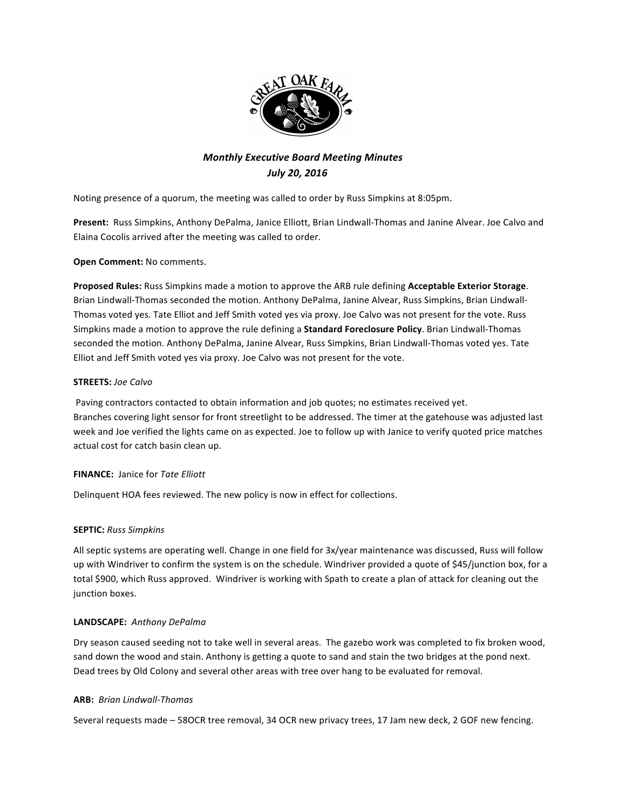

# **Monthly Executive Board Meeting Minutes** *July 20, 2016*

Noting presence of a quorum, the meeting was called to order by Russ Simpkins at 8:05pm.

Present: Russ Simpkins, Anthony DePalma, Janice Elliott, Brian Lindwall-Thomas and Janine Alvear. Joe Calvo and Elaina Cocolis arrived after the meeting was called to order.

## **Open Comment:** No comments.

Proposed Rules: Russ Simpkins made a motion to approve the ARB rule defining Acceptable Exterior Storage. Brian Lindwall-Thomas seconded the motion. Anthony DePalma, Janine Alvear, Russ Simpkins, Brian Lindwall-Thomas voted yes. Tate Elliot and Jeff Smith voted yes via proxy. Joe Calvo was not present for the vote. Russ Simpkins made a motion to approve the rule defining a **Standard Foreclosure Policy**. Brian Lindwall-Thomas seconded the motion. Anthony DePalma, Janine Alvear, Russ Simpkins, Brian Lindwall-Thomas voted yes. Tate Elliot and Jeff Smith voted yes via proxy. Joe Calvo was not present for the vote.

#### **STREETS:** *Joe Calvo*

Paving contractors contacted to obtain information and job quotes; no estimates received yet. Branches covering light sensor for front streetlight to be addressed. The timer at the gatehouse was adjusted last week and Joe verified the lights came on as expected. Joe to follow up with Janice to verify quoted price matches actual cost for catch basin clean up.

#### **FINANCE:** Janice for Tate Elliott

Delinquent HOA fees reviewed. The new policy is now in effect for collections.

#### **SEPTIC:** *Russ Simpkins*

All septic systems are operating well. Change in one field for 3x/year maintenance was discussed, Russ will follow up with Windriver to confirm the system is on the schedule. Windriver provided a quote of \$45/junction box, for a total \$900, which Russ approved. Windriver is working with Spath to create a plan of attack for cleaning out the junction boxes.

#### **LANDSCAPE:** *Anthony DePalma*

Dry season caused seeding not to take well in several areas. The gazebo work was completed to fix broken wood, sand down the wood and stain. Anthony is getting a quote to sand and stain the two bridges at the pond next. Dead trees by Old Colony and several other areas with tree over hang to be evaluated for removal.

#### **ARB:** *Brian Lindwall-Thomas*

Several requests made - 58OCR tree removal, 34 OCR new privacy trees, 17 Jam new deck, 2 GOF new fencing.